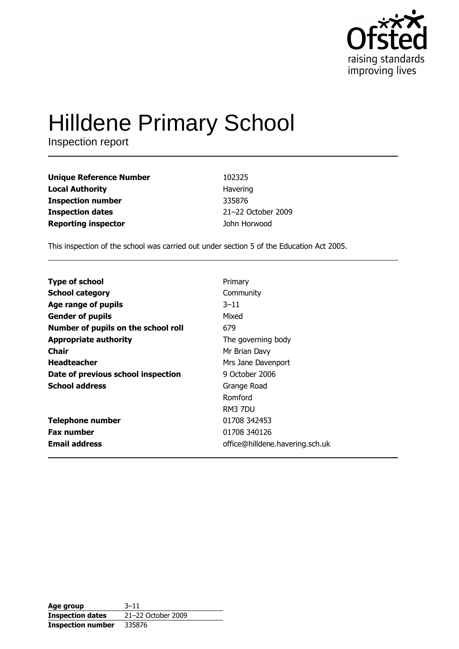

# **Hilldene Primary School**

Inspection report

| <b>Unique Reference Number</b> | 102325             |
|--------------------------------|--------------------|
| <b>Local Authority</b>         | Havering           |
| <b>Inspection number</b>       | 335876             |
| <b>Inspection dates</b>        | 21-22 October 2009 |
| <b>Reporting inspector</b>     | John Horwood       |

This inspection of the school was carried out under section 5 of the Education Act 2005.

| <b>Type of school</b>               | Primary                         |
|-------------------------------------|---------------------------------|
| <b>School category</b>              | Community                       |
| Age range of pupils                 | $3 - 11$                        |
| <b>Gender of pupils</b>             | Mixed                           |
| Number of pupils on the school roll | 679                             |
| <b>Appropriate authority</b>        | The governing body              |
| Chair                               | Mr Brian Davy                   |
| <b>Headteacher</b>                  | Mrs Jane Davenport              |
| Date of previous school inspection  | 9 October 2006                  |
| <b>School address</b>               | Grange Road                     |
|                                     | Romford                         |
|                                     | RM3 7DU                         |
| <b>Telephone number</b>             | 01708 342453                    |
| <b>Fax number</b>                   | 01708 340126                    |
| <b>Email address</b>                | office@hilldene.havering.sch.uk |

| Age group                | $3 - 11$           |
|--------------------------|--------------------|
| <b>Inspection dates</b>  | 21-22 October 2009 |
| <b>Inspection number</b> | 335876             |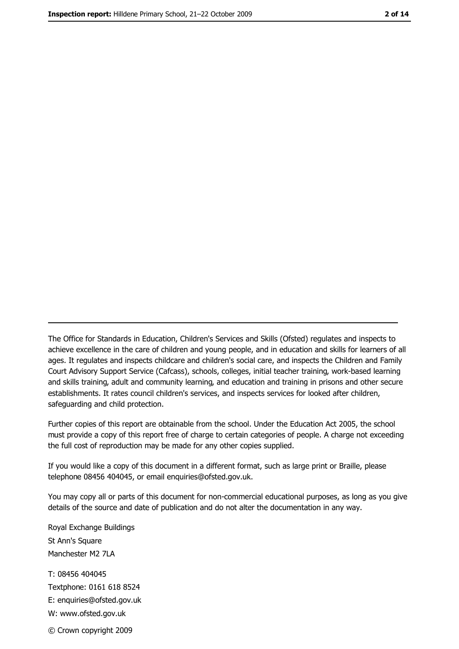The Office for Standards in Education, Children's Services and Skills (Ofsted) regulates and inspects to achieve excellence in the care of children and young people, and in education and skills for learners of all ages. It regulates and inspects childcare and children's social care, and inspects the Children and Family Court Advisory Support Service (Cafcass), schools, colleges, initial teacher training, work-based learning and skills training, adult and community learning, and education and training in prisons and other secure establishments. It rates council children's services, and inspects services for looked after children, safequarding and child protection.

Further copies of this report are obtainable from the school. Under the Education Act 2005, the school must provide a copy of this report free of charge to certain categories of people. A charge not exceeding the full cost of reproduction may be made for any other copies supplied.

If you would like a copy of this document in a different format, such as large print or Braille, please telephone 08456 404045, or email enquiries@ofsted.gov.uk.

You may copy all or parts of this document for non-commercial educational purposes, as long as you give details of the source and date of publication and do not alter the documentation in any way.

Royal Exchange Buildings St Ann's Square Manchester M2 7LA T: 08456 404045 Textphone: 0161 618 8524 E: enquiries@ofsted.gov.uk W: www.ofsted.gov.uk © Crown copyright 2009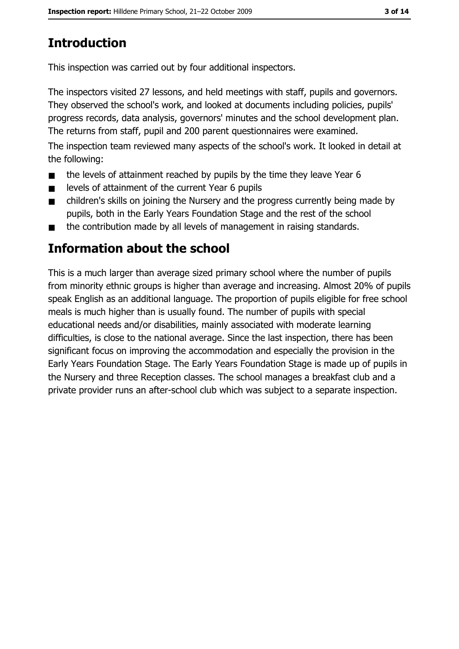# **Introduction**

This inspection was carried out by four additional inspectors.

The inspectors visited 27 lessons, and held meetings with staff, pupils and governors. They observed the school's work, and looked at documents including policies, pupils' progress records, data analysis, governors' minutes and the school development plan. The returns from staff, pupil and 200 parent questionnaires were examined.

The inspection team reviewed many aspects of the school's work. It looked in detail at the following:

- the levels of attainment reached by pupils by the time they leave Year 6  $\blacksquare$
- levels of attainment of the current Year 6 pupils  $\blacksquare$
- children's skills on joining the Nursery and the progress currently being made by  $\blacksquare$ pupils, both in the Early Years Foundation Stage and the rest of the school
- the contribution made by all levels of management in raising standards.

# Information about the school

This is a much larger than average sized primary school where the number of pupils from minority ethnic groups is higher than average and increasing. Almost 20% of pupils speak English as an additional language. The proportion of pupils eligible for free school meals is much higher than is usually found. The number of pupils with special educational needs and/or disabilities, mainly associated with moderate learning difficulties, is close to the national average. Since the last inspection, there has been significant focus on improving the accommodation and especially the provision in the Early Years Foundation Stage. The Early Years Foundation Stage is made up of pupils in the Nursery and three Reception classes. The school manages a breakfast club and a private provider runs an after-school club which was subject to a separate inspection.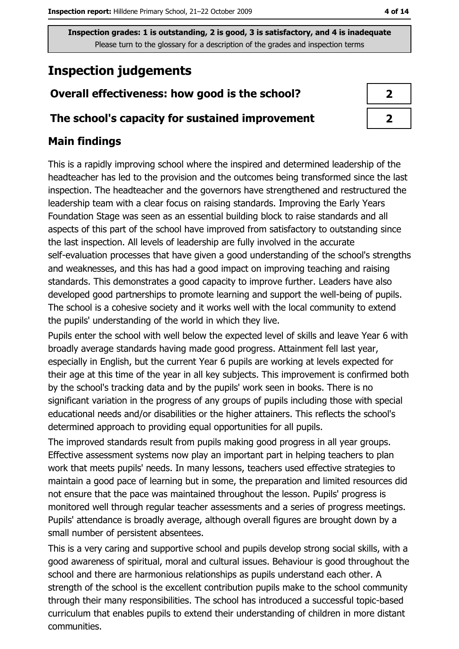# **Inspection judgements**

## Overall effectiveness: how good is the school?

## The school's capacity for sustained improvement

## **Main findings**

This is a rapidly improving school where the inspired and determined leadership of the headteacher has led to the provision and the outcomes being transformed since the last inspection. The headteacher and the governors have strengthened and restructured the leadership team with a clear focus on raising standards. Improving the Early Years Foundation Stage was seen as an essential building block to raise standards and all aspects of this part of the school have improved from satisfactory to outstanding since the last inspection. All levels of leadership are fully involved in the accurate self-evaluation processes that have given a good understanding of the school's strengths and weaknesses, and this has had a good impact on improving teaching and raising standards. This demonstrates a good capacity to improve further. Leaders have also developed good partnerships to promote learning and support the well-being of pupils. The school is a cohesive society and it works well with the local community to extend the pupils' understanding of the world in which they live.

Pupils enter the school with well below the expected level of skills and leave Year 6 with broadly average standards having made good progress. Attainment fell last year, especially in English, but the current Year 6 pupils are working at levels expected for their age at this time of the year in all key subjects. This improvement is confirmed both by the school's tracking data and by the pupils' work seen in books. There is no significant variation in the progress of any groups of pupils including those with special educational needs and/or disabilities or the higher attainers. This reflects the school's determined approach to providing equal opportunities for all pupils.

The improved standards result from pupils making good progress in all year groups. Effective assessment systems now play an important part in helping teachers to plan work that meets pupils' needs. In many lessons, teachers used effective strategies to maintain a good pace of learning but in some, the preparation and limited resources did not ensure that the pace was maintained throughout the lesson. Pupils' progress is monitored well through regular teacher assessments and a series of progress meetings. Pupils' attendance is broadly average, although overall figures are brought down by a small number of persistent absentees.

This is a very caring and supportive school and pupils develop strong social skills, with a good awareness of spiritual, moral and cultural issues. Behaviour is good throughout the school and there are harmonious relationships as pupils understand each other. A strength of the school is the excellent contribution pupils make to the school community through their many responsibilities. The school has introduced a successful topic-based curriculum that enables pupils to extend their understanding of children in more distant communities.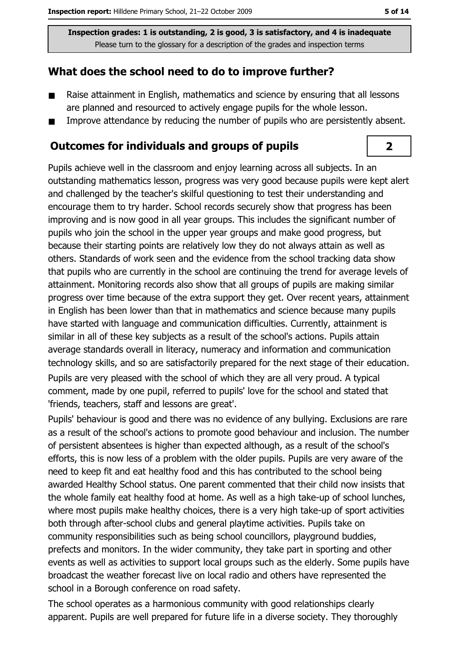## What does the school need to do to improve further?

- Raise attainment in English, mathematics and science by ensuring that all lessons  $\blacksquare$ are planned and resourced to actively engage pupils for the whole lesson.
- Improve attendance by reducing the number of pupils who are persistently absent.  $\blacksquare$

#### **Outcomes for individuals and groups of pupils**

Pupils achieve well in the classroom and enjoy learning across all subjects. In an outstanding mathematics lesson, progress was very good because pupils were kept alert and challenged by the teacher's skilful questioning to test their understanding and encourage them to try harder. School records securely show that progress has been improving and is now good in all year groups. This includes the significant number of pupils who join the school in the upper year groups and make good progress, but because their starting points are relatively low they do not always attain as well as others. Standards of work seen and the evidence from the school tracking data show that pupils who are currently in the school are continuing the trend for average levels of attainment. Monitoring records also show that all groups of pupils are making similar progress over time because of the extra support they get. Over recent years, attainment in English has been lower than that in mathematics and science because many pupils have started with language and communication difficulties. Currently, attainment is similar in all of these key subjects as a result of the school's actions. Pupils attain average standards overall in literacy, numeracy and information and communication technology skills, and so are satisfactorily prepared for the next stage of their education.

Pupils are very pleased with the school of which they are all very proud. A typical comment, made by one pupil, referred to pupils' love for the school and stated that 'friends, teachers, staff and lessons are great'.

Pupils' behaviour is good and there was no evidence of any bullying. Exclusions are rare as a result of the school's actions to promote good behaviour and inclusion. The number of persistent absentees is higher than expected although, as a result of the school's efforts, this is now less of a problem with the older pupils. Pupils are very aware of the need to keep fit and eat healthy food and this has contributed to the school being awarded Healthy School status. One parent commented that their child now insists that the whole family eat healthy food at home. As well as a high take-up of school lunches, where most pupils make healthy choices, there is a very high take-up of sport activities both through after-school clubs and general playtime activities. Pupils take on community responsibilities such as being school councillors, playground buddies, prefects and monitors. In the wider community, they take part in sporting and other events as well as activities to support local groups such as the elderly. Some pupils have broadcast the weather forecast live on local radio and others have represented the school in a Borough conference on road safety.

The school operates as a harmonious community with good relationships clearly apparent. Pupils are well prepared for future life in a diverse society. They thoroughly

 $\overline{2}$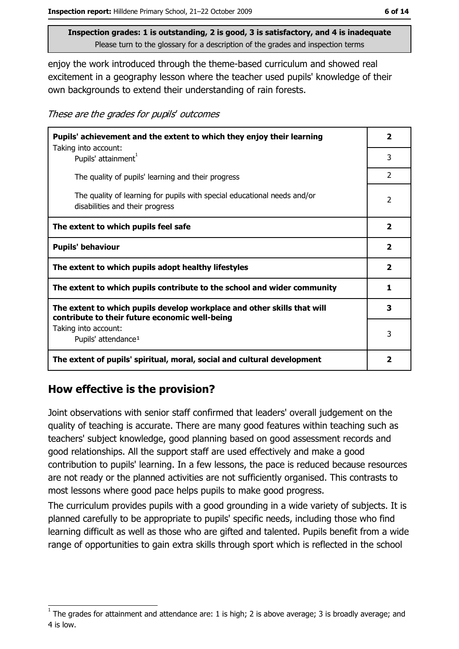enjoy the work introduced through the theme-based curriculum and showed real excitement in a geography lesson where the teacher used pupils' knowledge of their own backgrounds to extend their understanding of rain forests.

These are the grades for pupils' outcomes

| Pupils' achievement and the extent to which they enjoy their learning                                                     |                |
|---------------------------------------------------------------------------------------------------------------------------|----------------|
| Taking into account:<br>Pupils' attainment <sup>1</sup>                                                                   | 3              |
| The quality of pupils' learning and their progress                                                                        | $\overline{2}$ |
| The quality of learning for pupils with special educational needs and/or<br>disabilities and their progress               | $\overline{2}$ |
| The extent to which pupils feel safe                                                                                      | $\mathbf{2}$   |
| <b>Pupils' behaviour</b>                                                                                                  | $\mathbf{2}$   |
| The extent to which pupils adopt healthy lifestyles                                                                       | $\mathbf{2}$   |
| The extent to which pupils contribute to the school and wider community                                                   |                |
| The extent to which pupils develop workplace and other skills that will<br>contribute to their future economic well-being | 3              |
| Taking into account:<br>Pupils' attendance <sup>1</sup>                                                                   | 3              |
| The extent of pupils' spiritual, moral, social and cultural development                                                   | $\mathbf{2}$   |

### How effective is the provision?

Joint observations with senior staff confirmed that leaders' overall judgement on the quality of teaching is accurate. There are many good features within teaching such as teachers' subject knowledge, good planning based on good assessment records and good relationships. All the support staff are used effectively and make a good contribution to pupils' learning. In a few lessons, the pace is reduced because resources are not ready or the planned activities are not sufficiently organised. This contrasts to most lessons where good pace helps pupils to make good progress.

The curriculum provides pupils with a good grounding in a wide variety of subjects. It is planned carefully to be appropriate to pupils' specific needs, including those who find learning difficult as well as those who are gifted and talented. Pupils benefit from a wide range of opportunities to gain extra skills through sport which is reflected in the school

The grades for attainment and attendance are: 1 is high; 2 is above average; 3 is broadly average; and 4 is low.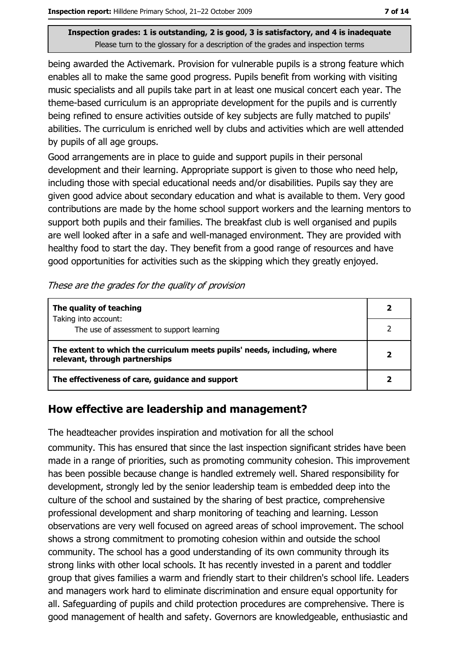being awarded the Activemark. Provision for vulnerable pupils is a strong feature which enables all to make the same good progress. Pupils benefit from working with visiting music specialists and all pupils take part in at least one musical concert each year. The theme-based curriculum is an appropriate development for the pupils and is currently being refined to ensure activities outside of key subjects are fully matched to pupils' abilities. The curriculum is enriched well by clubs and activities which are well attended by pupils of all age groups.

Good arrangements are in place to quide and support pupils in their personal development and their learning. Appropriate support is given to those who need help, including those with special educational needs and/or disabilities. Pupils say they are given good advice about secondary education and what is available to them. Very good contributions are made by the home school support workers and the learning mentors to support both pupils and their families. The breakfast club is well organised and pupils are well looked after in a safe and well-managed environment. They are provided with healthy food to start the day. They benefit from a good range of resources and have good opportunities for activities such as the skipping which they greatly enjoyed.

|  | These are the grades for the quality of provision |  |  |
|--|---------------------------------------------------|--|--|
|--|---------------------------------------------------|--|--|

| The quality of teaching                                                                                    |  |
|------------------------------------------------------------------------------------------------------------|--|
| Taking into account:<br>The use of assessment to support learning                                          |  |
|                                                                                                            |  |
| The extent to which the curriculum meets pupils' needs, including, where<br>relevant, through partnerships |  |
| The effectiveness of care, guidance and support                                                            |  |

## How effective are leadership and management?

The headteacher provides inspiration and motivation for all the school

community. This has ensured that since the last inspection significant strides have been made in a range of priorities, such as promoting community cohesion. This improvement has been possible because change is handled extremely well. Shared responsibility for development, strongly led by the senior leadership team is embedded deep into the culture of the school and sustained by the sharing of best practice, comprehensive professional development and sharp monitoring of teaching and learning. Lesson observations are very well focused on agreed areas of school improvement. The school shows a strong commitment to promoting cohesion within and outside the school community. The school has a good understanding of its own community through its strong links with other local schools. It has recently invested in a parent and toddler group that gives families a warm and friendly start to their children's school life. Leaders and managers work hard to eliminate discrimination and ensure equal opportunity for all. Safeguarding of pupils and child protection procedures are comprehensive. There is good management of health and safety. Governors are knowledgeable, enthusiastic and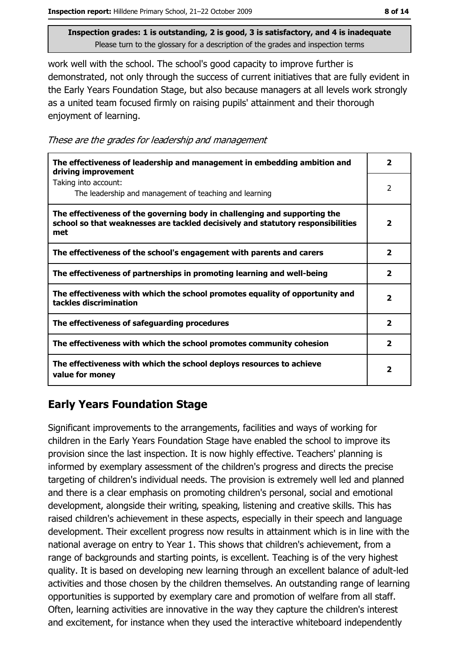work well with the school. The school's good capacity to improve further is demonstrated, not only through the success of current initiatives that are fully evident in the Early Years Foundation Stage, but also because managers at all levels work strongly as a united team focused firmly on raising pupils' attainment and their thorough enjoyment of learning.

These are the grades for leadership and management

| The effectiveness of leadership and management in embedding ambition and<br>driving improvement                                                                     | 2                        |
|---------------------------------------------------------------------------------------------------------------------------------------------------------------------|--------------------------|
| Taking into account:<br>The leadership and management of teaching and learning                                                                                      | $\overline{\phantom{a}}$ |
| The effectiveness of the governing body in challenging and supporting the<br>school so that weaknesses are tackled decisively and statutory responsibilities<br>met | $\overline{\mathbf{2}}$  |
| The effectiveness of the school's engagement with parents and carers                                                                                                | $\overline{\mathbf{2}}$  |
| The effectiveness of partnerships in promoting learning and well-being                                                                                              | 2                        |
| The effectiveness with which the school promotes equality of opportunity and<br>tackles discrimination                                                              | $\overline{\mathbf{2}}$  |
| The effectiveness of safeguarding procedures                                                                                                                        | 2                        |
| The effectiveness with which the school promotes community cohesion                                                                                                 | 2                        |
| The effectiveness with which the school deploys resources to achieve<br>value for money                                                                             | 2                        |

## **Early Years Foundation Stage**

Significant improvements to the arrangements, facilities and ways of working for children in the Early Years Foundation Stage have enabled the school to improve its provision since the last inspection. It is now highly effective. Teachers' planning is informed by exemplary assessment of the children's progress and directs the precise targeting of children's individual needs. The provision is extremely well led and planned and there is a clear emphasis on promoting children's personal, social and emotional development, alongside their writing, speaking, listening and creative skills. This has raised children's achievement in these aspects, especially in their speech and language development. Their excellent progress now results in attainment which is in line with the national average on entry to Year 1. This shows that children's achievement, from a range of backgrounds and starting points, is excellent. Teaching is of the very highest quality. It is based on developing new learning through an excellent balance of adult-led activities and those chosen by the children themselves. An outstanding range of learning opportunities is supported by exemplary care and promotion of welfare from all staff. Often, learning activities are innovative in the way they capture the children's interest and excitement, for instance when they used the interactive whiteboard independently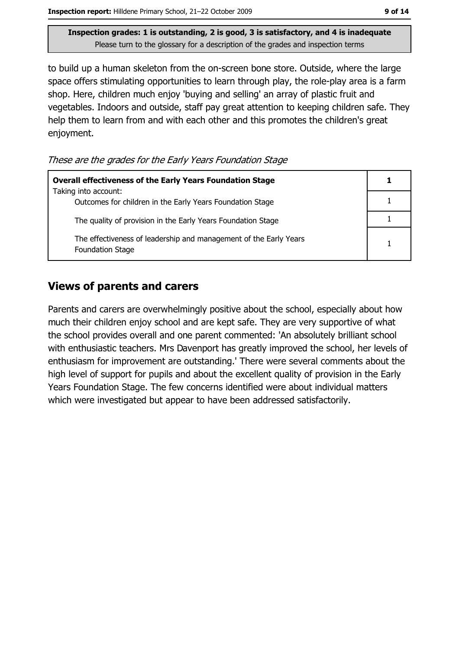to build up a human skeleton from the on-screen bone store. Outside, where the large space offers stimulating opportunities to learn through play, the role-play area is a farm shop. Here, children much enjoy 'buying and selling' an array of plastic fruit and vegetables. Indoors and outside, staff pay great attention to keeping children safe. They help them to learn from and with each other and this promotes the children's great enjoyment.

These are the grades for the Early Years Foundation Stage

| <b>Overall effectiveness of the Early Years Foundation Stage</b>                             |  |
|----------------------------------------------------------------------------------------------|--|
| Taking into account:<br>Outcomes for children in the Early Years Foundation Stage            |  |
| The quality of provision in the Early Years Foundation Stage                                 |  |
| The effectiveness of leadership and management of the Early Years<br><b>Foundation Stage</b> |  |

#### **Views of parents and carers**

Parents and carers are overwhelmingly positive about the school, especially about how much their children enjoy school and are kept safe. They are very supportive of what the school provides overall and one parent commented: 'An absolutely brilliant school with enthusiastic teachers. Mrs Davenport has greatly improved the school, her levels of enthusiasm for improvement are outstanding.' There were several comments about the high level of support for pupils and about the excellent quality of provision in the Early Years Foundation Stage. The few concerns identified were about individual matters which were investigated but appear to have been addressed satisfactorily.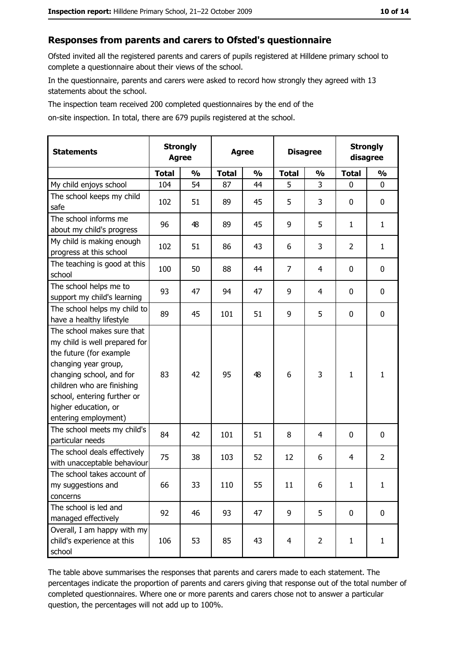#### Responses from parents and carers to Ofsted's questionnaire

Ofsted invited all the registered parents and carers of pupils registered at Hilldene primary school to complete a questionnaire about their views of the school.

In the questionnaire, parents and carers were asked to record how strongly they agreed with 13 statements about the school.

The inspection team received 200 completed questionnaires by the end of the

on-site inspection. In total, there are 679 pupils registered at the school.

| <b>Statements</b>                                                                                                                                                                                                                                       |              | <b>Strongly</b><br><b>Agree</b> |              | <b>Disagree</b><br><b>Agree</b> |                |                |              | <b>Strongly</b><br>disagree |  |
|---------------------------------------------------------------------------------------------------------------------------------------------------------------------------------------------------------------------------------------------------------|--------------|---------------------------------|--------------|---------------------------------|----------------|----------------|--------------|-----------------------------|--|
|                                                                                                                                                                                                                                                         | <b>Total</b> | $\frac{0}{0}$                   | <b>Total</b> | $\frac{0}{0}$                   | <b>Total</b>   | $\frac{0}{0}$  | <b>Total</b> | $\frac{0}{0}$               |  |
| My child enjoys school                                                                                                                                                                                                                                  | 104          | 54                              | 87           | 44                              | 5              | 3              | 0            | $\mathbf 0$                 |  |
| The school keeps my child<br>safe                                                                                                                                                                                                                       | 102          | 51                              | 89           | 45                              | 5              | 3              | 0            | 0                           |  |
| The school informs me<br>about my child's progress                                                                                                                                                                                                      | 96           | 48                              | 89           | 45                              | 9              | 5              | 1            | $\mathbf{1}$                |  |
| My child is making enough<br>progress at this school                                                                                                                                                                                                    | 102          | 51                              | 86           | 43                              | 6              | 3              | 2            | $\mathbf{1}$                |  |
| The teaching is good at this<br>school                                                                                                                                                                                                                  | 100          | 50                              | 88           | 44                              | $\overline{7}$ | 4              | 0            | $\mathbf 0$                 |  |
| The school helps me to<br>support my child's learning                                                                                                                                                                                                   | 93           | 47                              | 94           | 47                              | 9              | 4              | 0            | $\mathbf 0$                 |  |
| The school helps my child to<br>have a healthy lifestyle                                                                                                                                                                                                | 89           | 45                              | 101          | 51                              | 9              | 5              | 0            | 0                           |  |
| The school makes sure that<br>my child is well prepared for<br>the future (for example<br>changing year group,<br>changing school, and for<br>children who are finishing<br>school, entering further or<br>higher education, or<br>entering employment) | 83           | 42                              | 95           | 48                              | 6              | 3              | 1            | $\mathbf{1}$                |  |
| The school meets my child's<br>particular needs                                                                                                                                                                                                         | 84           | 42                              | 101          | 51                              | 8              | 4              | 0            | $\mathbf 0$                 |  |
| The school deals effectively<br>with unacceptable behaviour                                                                                                                                                                                             | 75           | 38                              | 103          | 52                              | 12             | 6              | 4            | $\overline{2}$              |  |
| The school takes account of<br>my suggestions and<br>concerns                                                                                                                                                                                           | 66           | 33                              | 110          | 55                              | 11             | 6              | $\mathbf{1}$ | $\mathbf{1}$                |  |
| The school is led and<br>managed effectively                                                                                                                                                                                                            | 92           | 46                              | 93           | 47                              | 9              | 5              | 0            | $\mathbf 0$                 |  |
| Overall, I am happy with my<br>child's experience at this<br>school                                                                                                                                                                                     | 106          | 53                              | 85           | 43                              | $\overline{4}$ | $\overline{2}$ | $\mathbf{1}$ | $\mathbf{1}$                |  |

The table above summarises the responses that parents and carers made to each statement. The percentages indicate the proportion of parents and carers giving that response out of the total number of completed questionnaires. Where one or more parents and carers chose not to answer a particular question, the percentages will not add up to 100%.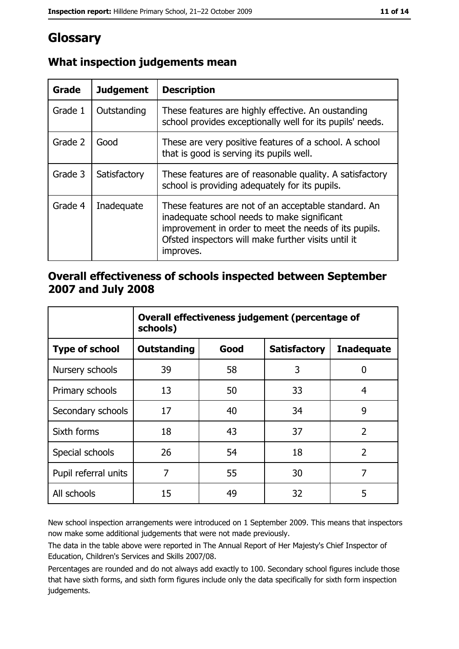# Glossary

| Grade   | <b>Judgement</b> | <b>Description</b>                                                                                                                                                                                                               |
|---------|------------------|----------------------------------------------------------------------------------------------------------------------------------------------------------------------------------------------------------------------------------|
| Grade 1 | Outstanding      | These features are highly effective. An oustanding<br>school provides exceptionally well for its pupils' needs.                                                                                                                  |
| Grade 2 | Good             | These are very positive features of a school. A school<br>that is good is serving its pupils well.                                                                                                                               |
| Grade 3 | Satisfactory     | These features are of reasonable quality. A satisfactory<br>school is providing adequately for its pupils.                                                                                                                       |
| Grade 4 | Inadequate       | These features are not of an acceptable standard. An<br>inadequate school needs to make significant<br>improvement in order to meet the needs of its pupils.<br>Ofsted inspectors will make further visits until it<br>improves. |

## What inspection judgements mean

## Overall effectiveness of schools inspected between September 2007 and July 2008

|                       | Overall effectiveness judgement (percentage of<br>schools) |      |                     |                   |
|-----------------------|------------------------------------------------------------|------|---------------------|-------------------|
| <b>Type of school</b> | <b>Outstanding</b>                                         | Good | <b>Satisfactory</b> | <b>Inadequate</b> |
| Nursery schools       | 39                                                         | 58   | 3                   | 0                 |
| Primary schools       | 13                                                         | 50   | 33                  | 4                 |
| Secondary schools     | 17                                                         | 40   | 34                  | 9                 |
| Sixth forms           | 18                                                         | 43   | 37                  | $\overline{2}$    |
| Special schools       | 26                                                         | 54   | 18                  | $\overline{2}$    |
| Pupil referral units  | 7                                                          | 55   | 30                  | 7                 |
| All schools           | 15                                                         | 49   | 32                  | 5                 |

New school inspection arrangements were introduced on 1 September 2009. This means that inspectors now make some additional judgements that were not made previously.

The data in the table above were reported in The Annual Report of Her Majesty's Chief Inspector of Education, Children's Services and Skills 2007/08.

Percentages are rounded and do not always add exactly to 100. Secondary school figures include those that have sixth forms, and sixth form figures include only the data specifically for sixth form inspection judgements.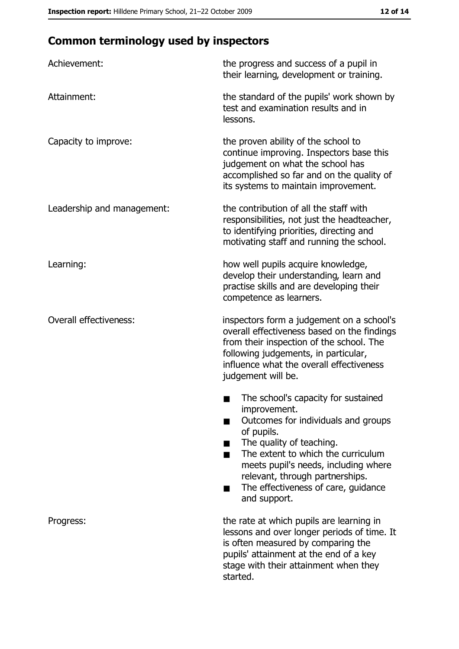# **Common terminology used by inspectors**

| Achievement:                  | the progress and success of a pupil in<br>their learning, development or training.                                                                                                                                                                                                                           |
|-------------------------------|--------------------------------------------------------------------------------------------------------------------------------------------------------------------------------------------------------------------------------------------------------------------------------------------------------------|
| Attainment:                   | the standard of the pupils' work shown by<br>test and examination results and in<br>lessons.                                                                                                                                                                                                                 |
| Capacity to improve:          | the proven ability of the school to<br>continue improving. Inspectors base this<br>judgement on what the school has<br>accomplished so far and on the quality of<br>its systems to maintain improvement.                                                                                                     |
| Leadership and management:    | the contribution of all the staff with<br>responsibilities, not just the headteacher,<br>to identifying priorities, directing and<br>motivating staff and running the school.                                                                                                                                |
| Learning:                     | how well pupils acquire knowledge,<br>develop their understanding, learn and<br>practise skills and are developing their<br>competence as learners.                                                                                                                                                          |
| <b>Overall effectiveness:</b> | inspectors form a judgement on a school's<br>overall effectiveness based on the findings<br>from their inspection of the school. The<br>following judgements, in particular,<br>influence what the overall effectiveness<br>judgement will be.                                                               |
|                               | The school's capacity for sustained<br>improvement.<br>Outcomes for individuals and groups<br>of pupils.<br>The quality of teaching.<br>The extent to which the curriculum<br>meets pupil's needs, including where<br>relevant, through partnerships.<br>The effectiveness of care, guidance<br>and support. |
| Progress:                     | the rate at which pupils are learning in<br>lessons and over longer periods of time. It<br>is often measured by comparing the<br>pupils' attainment at the end of a key<br>stage with their attainment when they<br>started.                                                                                 |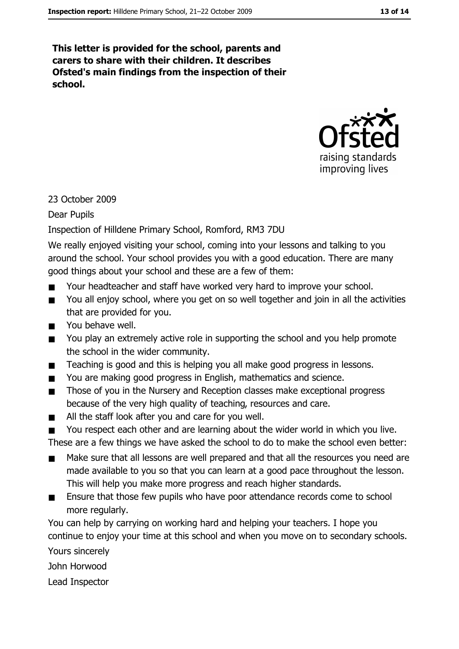This letter is provided for the school, parents and carers to share with their children. It describes Ofsted's main findings from the inspection of their school.



#### 23 October 2009

#### **Dear Pupils**

#### Inspection of Hilldene Primary School, Romford, RM3 7DU

We really enjoyed visiting your school, coming into your lessons and talking to you around the school. Your school provides you with a good education. There are many good things about your school and these are a few of them:

- Your headteacher and staff have worked very hard to improve your school.
- You all enjoy school, where you get on so well together and join in all the activities  $\blacksquare$ that are provided for you.
- You behave well.  $\blacksquare$
- You play an extremely active role in supporting the school and you help promote  $\blacksquare$ the school in the wider community.
- Teaching is good and this is helping you all make good progress in lessons.  $\blacksquare$
- You are making good progress in English, mathematics and science.  $\blacksquare$
- Those of you in the Nursery and Reception classes make exceptional progress  $\blacksquare$ because of the very high quality of teaching, resources and care.
- All the staff look after you and care for you well.  $\blacksquare$
- You respect each other and are learning about the wider world in which you live.  $\blacksquare$

These are a few things we have asked the school to do to make the school even better:

- Make sure that all lessons are well prepared and that all the resources you need are  $\blacksquare$ made available to you so that you can learn at a good pace throughout the lesson. This will help you make more progress and reach higher standards.
- Ensure that those few pupils who have poor attendance records come to school  $\blacksquare$ more regularly.

You can help by carrying on working hard and helping your teachers. I hope you continue to enjoy your time at this school and when you move on to secondary schools.

Yours sincerely

John Horwood

Lead Inspector